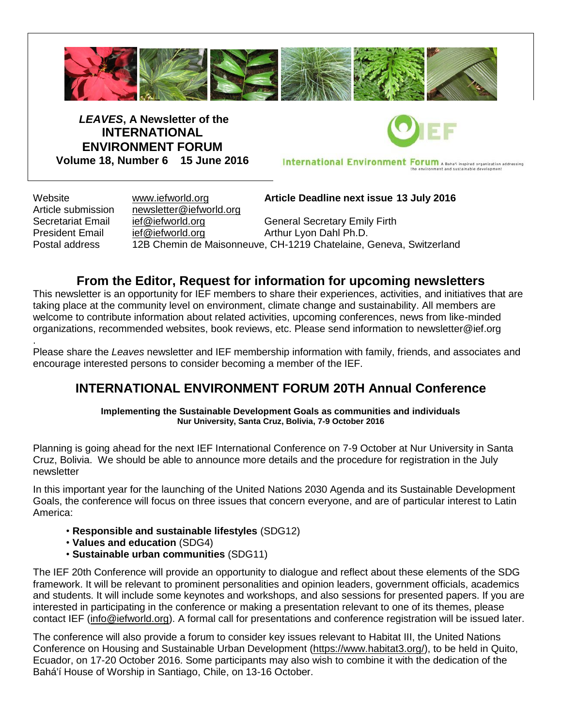

*LEAVES***, A Newsletter of the INTERNATIONAL ENVIRONMENT FORUM Volume 18, Number 6 15 June 2016**

International Environment Forum A Baha'i inspired organization addressing

Article submission [newsletter@iefworld.org](mailto:newsletter@iefworld.org)

Website [www.iefworld.org](http://www.iefworld.org/) **Article Deadline next issue 13 July 2016**

Secretariat Email [ief@iefworld.org](mailto:ief@iefworld.org) General Secretary Emily Firth President Email [ief@iefworld.org](mailto:ief@iefworld.org) in Arthur Lyon Dahl Ph.D. Postal address 12B Chemin de Maisonneuve, CH-1219 Chatelaine, Geneva, Switzerland

# **From the Editor, Request for information for upcoming newsletters**

This newsletter is an opportunity for IEF members to share their experiences, activities, and initiatives that are taking place at the community level on environment, climate change and sustainability. All members are welcome to contribute information about related activities, upcoming conferences, news from like-minded organizations, recommended websites, book reviews, etc. Please send information to [newsletter@ief.org](mailto:newsletter@ief.org)

. Please share the *Leaves* newsletter and IEF membership information with family, friends, and associates and encourage interested persons to consider becoming a member of the IEF.

# **INTERNATIONAL ENVIRONMENT FORUM 20TH Annual Conference**

**Implementing the Sustainable Development Goals as communities and individuals Nur University, Santa Cruz, Bolivia, 7-9 October 2016**

Planning is going ahead for the next IEF International Conference on 7-9 October at Nur University in Santa Cruz, Bolivia. We should be able to announce more details and the procedure for registration in the July newsletter

In this important year for the launching of the United Nations 2030 Agenda and its Sustainable Development Goals, the conference will focus on three issues that concern everyone, and are of particular interest to Latin America:

- **Responsible and sustainable lifestyles** (SDG12)
- **Values and education** (SDG4)
- **Sustainable urban communities** (SDG11)

The IEF 20th Conference will provide an opportunity to dialogue and reflect about these elements of the SDG framework. It will be relevant to prominent personalities and opinion leaders, government officials, academics and students. It will include some keynotes and workshops, and also sessions for presented papers. If you are interested in participating in the conference or making a presentation relevant to one of its themes, please contact IEF [\(info@iefworld.org\)](mailto:info@iefworld.org). A formal call for presentations and conference registration will be issued later.

The conference will also provide a forum to consider key issues relevant to Habitat III, the United Nations Conference on Housing and Sustainable Urban Development [\(https://www.habitat3.org/\)](https://www.habitat3.org/), to be held in Quito, Ecuador, on 17-20 October 2016. Some participants may also wish to combine it with the dedication of the Bahá'í House of Worship in Santiago, Chile, on 13-16 October.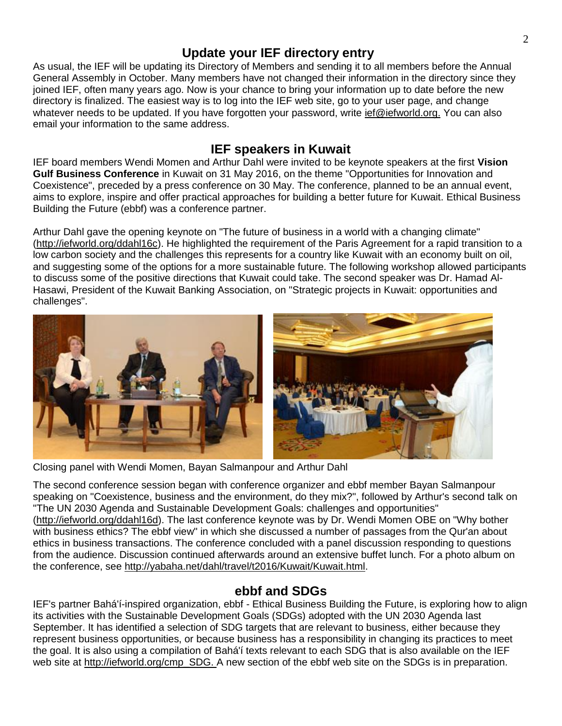## **Update your IEF directory entry**

As usual, the IEF will be updating its Directory of Members and sending it to all members before the Annual General Assembly in October. Many members have not changed their information in the directory since they joined IEF, often many years ago. Now is your chance to bring your information up to date before the new directory is finalized. The easiest way is to log into the IEF web site, go to your user page, and change whatever needs to be updated. If you have forgotten your password, write [ief@iefworld.org.](mailto:ief@iefworld.org.) You can also email your information to the same address.

### **IEF speakers in Kuwait**

IEF board members Wendi Momen and Arthur Dahl were invited to be keynote speakers at the first **Vision Gulf Business Conference** in Kuwait on 31 May 2016, on the theme "Opportunities for Innovation and Coexistence", preceded by a press conference on 30 May. The conference, planned to be an annual event, aims to explore, inspire and offer practical approaches for building a better future for Kuwait. Ethical Business Building the Future (ebbf) was a conference partner.

Arthur Dahl gave the opening keynote on "The future of business in a world with a changing climate" [\(http://iefworld.org/ddahl16c\)](http://iefworld.org/ddahl16c). He highlighted the requirement of the Paris Agreement for a rapid transition to a low carbon society and the challenges this represents for a country like Kuwait with an economy built on oil, and suggesting some of the options for a more sustainable future. The following workshop allowed participants to discuss some of the positive directions that Kuwait could take. The second speaker was Dr. Hamad Al-Hasawi, President of the Kuwait Banking Association, on "Strategic projects in Kuwait: opportunities and challenges".



Closing panel with Wendi Momen, Bayan Salmanpour and Arthur Dahl

The second conference session began with conference organizer and ebbf member Bayan Salmanpour speaking on "Coexistence, business and the environment, do they mix?", followed by Arthur's second talk on "The UN 2030 Agenda and Sustainable Development Goals: challenges and opportunities" [\(http://iefworld.org/ddahl16d\)](http://iefworld.org/ddahl16d). The last conference keynote was by Dr. Wendi Momen OBE on "Why bother with business ethics? The ebbf view" in which she discussed a number of passages from the Qur'an about ethics in business transactions. The conference concluded with a panel discussion responding to questions from the audience. Discussion continued afterwards around an extensive buffet lunch. For a photo album on the conference, see [http://yabaha.net/dahl/travel/t2016/Kuwait/Kuwait.html.](http://yabaha.net/dahl/travel/t2016/Kuwait/Kuwait.html)

# **ebbf and SDGs**

IEF's partner Bahá'í-inspired organization, ebbf - Ethical Business Building the Future, is exploring how to align its activities with the Sustainable Development Goals (SDGs) adopted with the UN 2030 Agenda last September. It has identified a selection of SDG targets that are relevant to business, either because they represent business opportunities, or because business has a responsibility in changing its practices to meet the goal. It is also using a compilation of Bahá'í texts relevant to each SDG that is also available on the IEF web site at [http://iefworld.org/cmp\\_SDG.](http://iefworld.org/cmp_SDG.) A new section of the ebbf web site on the SDGs is in preparation.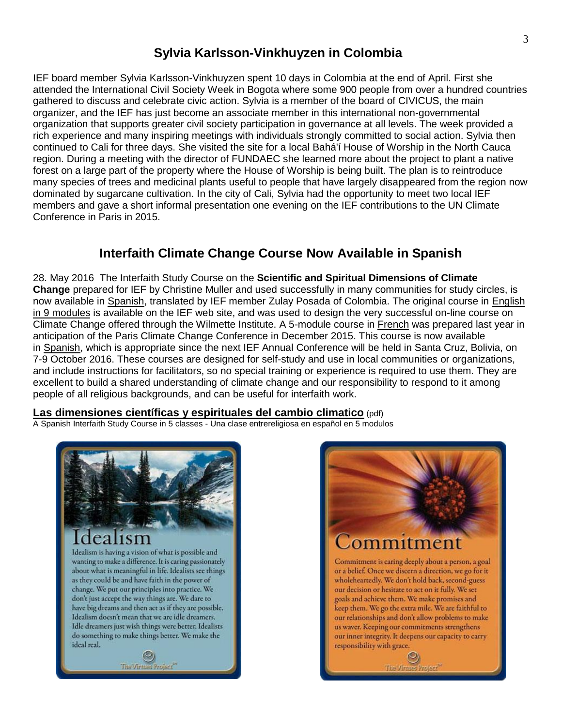# **Sylvia Karlsson-Vinkhuyzen in Colombia**

IEF board member Sylvia Karlsson-Vinkhuyzen spent 10 days in Colombia at the end of April. First she attended the International Civil Society Week in Bogota where some 900 people from over a hundred countries gathered to discuss and celebrate civic action. Sylvia is a member of the board of CIVICUS, the main organizer, and the IEF has just become an associate member in this international non-governmental organization that supports greater civil society participation in governance at all levels. The week provided a rich experience and many inspiring meetings with individuals strongly committed to social action. Sylvia then continued to Cali for three days. She visited the site for a local Bahá'í House of Worship in the North Cauca region. During a meeting with the director of FUNDAEC she learned more about the project to plant a native forest on a large part of the property where the House of Worship is being built. The plan is to reintroduce many species of trees and medicinal plants useful to people that have largely disappeared from the region now dominated by sugarcane cultivation. In the city of Cali, Sylvia had the opportunity to meet two local IEF members and gave a short informal presentation one evening on the IEF contributions to the UN Climate Conference in Paris in 2015.

# **Interfaith Climate Change Course Now Available in Spanish**

28. May 2016 The Interfaith Study Course on the **Scientific and Spiritual Dimensions of Climate Change** prepared for IEF by Christine Muller and used successfully in many communities for study circles, is now available in [Spanish,](http://iefworld.org/fl/ccSp.pdf) translated by IEF member Zulay Posada of Colombia. The original course in [English](http://iefworld.org/ssdcc0.html)  [in 9 modules](http://iefworld.org/ssdcc0.html) is available on the IEF web site, and was used to design the very successful on-line course on Climate Change offered through the Wilmette Institute. A 5-module course in [French](http://iefworld.org/ccFr0) was prepared last year in anticipation of the Paris Climate Change Conference in December 2015. This course is now available in [Spanish,](http://iefworld.org/fl/ccSp.pdf) which is appropriate since the next IEF Annual Conference will be held in Santa Cruz, Bolivia, on 7-9 October 2016. These courses are designed for self-study and use in local communities or organizations, and include instructions for facilitators, so no special training or experience is required to use them. They are excellent to build a shared understanding of climate change and our responsibility to respond to it among people of all religious backgrounds, and can be useful for interfaith work.

### **[Las dimensiones científicas y espirituales del cambio climatico](http://iefworld.org/fl/ccSp.pdf)** (pdf)

A Spanish Interfaith Study Course in 5 classes - Una clase entrereligiosa en español en 5 modulos



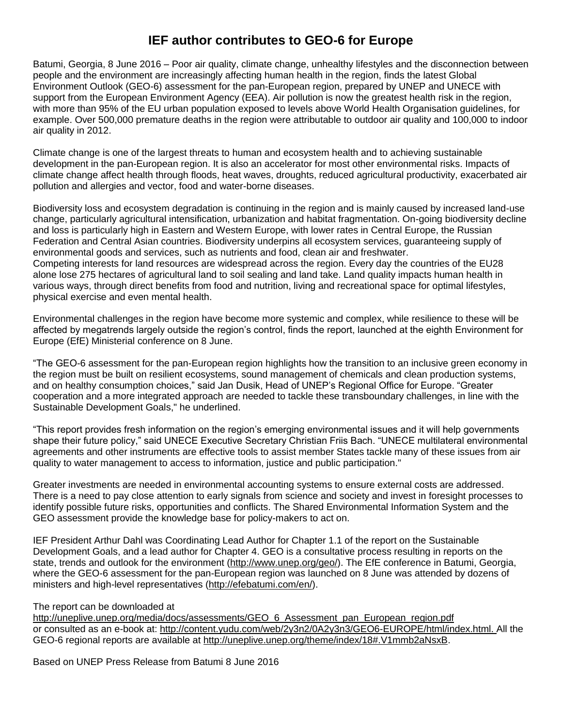# **IEF author contributes to GEO-6 for Europe**

Batumi, Georgia, 8 June 2016 – Poor air quality, climate change, unhealthy lifestyles and the disconnection between people and the environment are increasingly affecting human health in the region, finds the latest Global Environment Outlook (GEO-6) assessment for the pan-European region, prepared by UNEP and UNECE with support from the European Environment Agency (EEA). Air pollution is now the greatest health risk in the region, with more than 95% of the EU urban population exposed to levels above World Health Organisation guidelines, for example. Over 500,000 premature deaths in the region were attributable to outdoor air quality and 100,000 to indoor air quality in 2012.

Climate change is one of the largest threats to human and ecosystem health and to achieving sustainable development in the pan-European region. It is also an accelerator for most other environmental risks. Impacts of climate change affect health through floods, heat waves, droughts, reduced agricultural productivity, exacerbated air pollution and allergies and vector, food and water-borne diseases.

Biodiversity loss and ecosystem degradation is continuing in the region and is mainly caused by increased land-use change, particularly agricultural intensification, urbanization and habitat fragmentation. On-going biodiversity decline and loss is particularly high in Eastern and Western Europe, with lower rates in Central Europe, the Russian Federation and Central Asian countries. Biodiversity underpins all ecosystem services, guaranteeing supply of environmental goods and services, such as nutrients and food, clean air and freshwater. Competing interests for land resources are widespread across the region. Every day the countries of the EU28 alone lose 275 hectares of agricultural land to soil sealing and land take. Land quality impacts human health in various ways, through direct benefits from food and nutrition, living and recreational space for optimal lifestyles, physical exercise and even mental health.

Environmental challenges in the region have become more systemic and complex, while resilience to these will be affected by megatrends largely outside the region's control, finds the report, launched at the eighth Environment for Europe (EfE) Ministerial conference on 8 June.

"The GEO-6 assessment for the pan-European region highlights how the transition to an inclusive green economy in the region must be built on resilient ecosystems, sound management of chemicals and clean production systems, and on healthy consumption choices," said Jan Dusik, Head of UNEP's Regional Office for Europe. "Greater cooperation and a more integrated approach are needed to tackle these transboundary challenges, in line with the Sustainable Development Goals," he underlined.

"This report provides fresh information on the region's emerging environmental issues and it will help governments shape their future policy," said UNECE Executive Secretary Christian Friis Bach. "UNECE multilateral environmental agreements and other instruments are effective tools to assist member States tackle many of these issues from air quality to water management to access to information, justice and public participation."

Greater investments are needed in environmental accounting systems to ensure external costs are addressed. There is a need to pay close attention to early signals from science and society and invest in foresight processes to identify possible future risks, opportunities and conflicts. The Shared Environmental Information System and the GEO assessment provide the knowledge base for policy-makers to act on.

IEF President Arthur Dahl was Coordinating Lead Author for Chapter 1.1 of the report on the Sustainable Development Goals, and a lead author for Chapter 4. GEO is a consultative process resulting in reports on the state, trends and outlook for the environment [\(http://www.unep.org/geo/\)](http://www.unep.org/geo/). The EfE conference in Batumi, Georgia, where the GEO-6 assessment for the pan-European region was launched on 8 June was attended by dozens of ministers and high-level representatives [\(http://efebatumi.com/en/\)](http://efebatumi.com/en/).

#### The report can be downloaded at

[http://uneplive.unep.org/media/docs/assessments/GEO\\_6\\_Assessment\\_pan\\_European\\_region.pdf](http://uneplive.unep.org/media/docs/assessments/GEO_6_Assessment_pan_European_region.pdf) or consulted as an e-book at: <http://content.yudu.com/web/2y3n2/0A2y3n3/GEO6-EUROPE/html/index.html.> All the GEO-6 regional reports are available at http://uneplive.unep.org/theme/index/18#.V1mmb2aNsxB.

Based on UNEP Press Release from Batumi 8 June 2016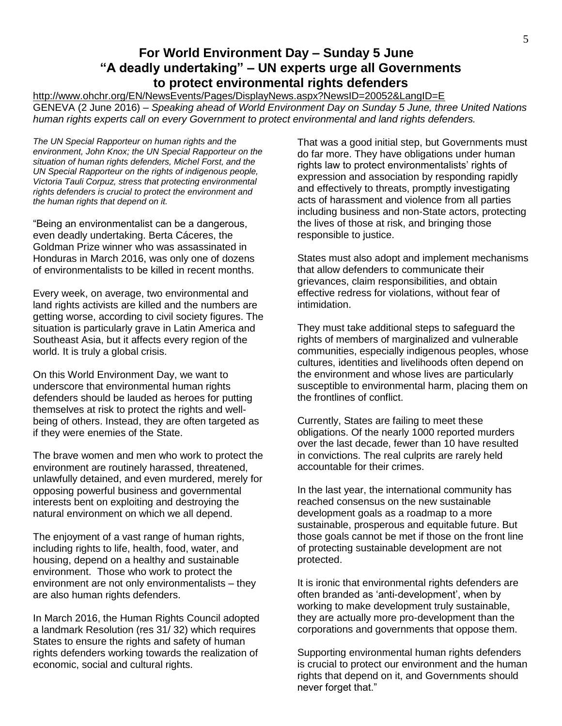### **For World Environment Day – Sunday 5 June "A deadly undertaking" – UN experts urge all Governments to protect environmental rights defenders**

<http://www.ohchr.org/EN/NewsEvents/Pages/DisplayNews.aspx?NewsID=20052&LangID=E> GENEVA (2 June 2016) – *Speaking ahead of World Environment Day on Sunday 5 June, three United Nations human rights experts call on every Government to protect environmental and land rights defenders.*

*The UN Special Rapporteur on human rights and the environment, John Knox; the UN Special Rapporteur on the situation of human rights defenders, Michel Forst, and the UN Special Rapporteur on the rights of indigenous people, Victoria Tauli Corpuz, stress that protecting environmental rights defenders is crucial to protect the environment and the human rights that depend on it.*

"Being an environmentalist can be a dangerous, even deadly undertaking. Berta Cáceres, the Goldman Prize winner who was assassinated in Honduras in March 2016, was only one of dozens of environmentalists to be killed in recent months.

Every week, on average, two environmental and land rights activists are killed and the numbers are getting worse, according to civil society figures. The situation is particularly grave in Latin America and Southeast Asia, but it affects every region of the world. It is truly a global crisis.

On this World Environment Day, we want to underscore that environmental human rights defenders should be lauded as heroes for putting themselves at risk to protect the rights and wellbeing of others. Instead, they are often targeted as if they were enemies of the State.

The brave women and men who work to protect the environment are routinely harassed, threatened, unlawfully detained, and even murdered, merely for opposing powerful business and governmental interests bent on exploiting and destroying the natural environment on which we all depend.

The enjoyment of a vast range of human rights, including rights to life, health, food, water, and housing, depend on a healthy and sustainable environment. Those who work to protect the environment are not only environmentalists – they are also human rights defenders.

In March 2016, the Human Rights Council adopted a landmark Resolution (res 31/ 32) which requires States to ensure the rights and safety of human rights defenders working towards the realization of economic, social and cultural rights.

That was a good initial step, but Governments must do far more. They have obligations under human rights law to protect environmentalists' rights of expression and association by responding rapidly and effectively to threats, promptly investigating acts of harassment and violence from all parties including business and non-State actors, protecting the lives of those at risk, and bringing those responsible to justice.

States must also adopt and implement mechanisms that allow defenders to communicate their grievances, claim responsibilities, and obtain effective redress for violations, without fear of intimidation.

They must take additional steps to safeguard the rights of members of marginalized and vulnerable communities, especially indigenous peoples, whose cultures, identities and livelihoods often depend on the environment and whose lives are particularly susceptible to environmental harm, placing them on the frontlines of conflict.

Currently, States are failing to meet these obligations. Of the nearly 1000 reported murders over the last decade, fewer than 10 have resulted in convictions. The real culprits are rarely held accountable for their crimes.

In the last year, the international community has reached consensus on the new sustainable development goals as a roadmap to a more sustainable, prosperous and equitable future. But those goals cannot be met if those on the front line of protecting sustainable development are not protected.

It is ironic that environmental rights defenders are often branded as 'anti-development', when by working to make development truly sustainable, they are actually more pro-development than the corporations and governments that oppose them.

Supporting environmental human rights defenders is crucial to protect our environment and the human rights that depend on it, and Governments should never forget that."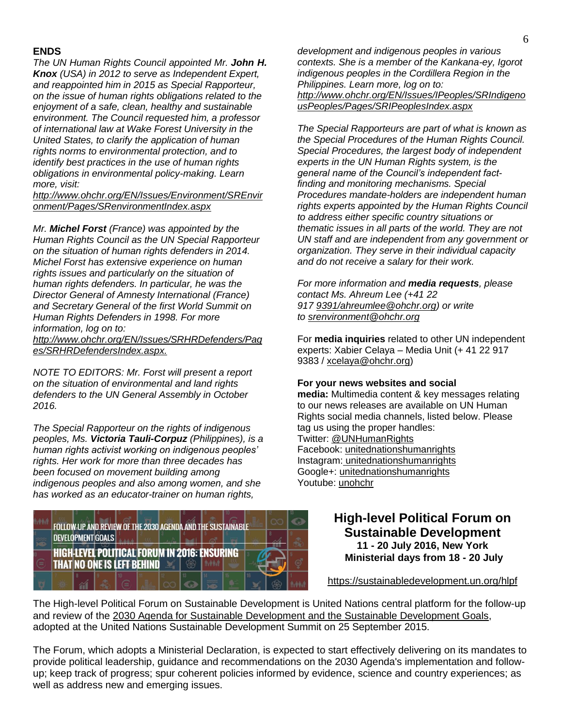#### **ENDS**

*The UN Human Rights Council appointed Mr. John H. Knox (USA) in 2012 to serve as Independent Expert, and reappointed him in 2015 as Special Rapporteur, on the issue of human rights obligations related to the enjoyment of a safe, clean, healthy and sustainable environment. The Council requested him, a professor of international law at Wake Forest University in the United States, to clarify the application of human rights norms to environmental protection, and to identify best practices in the use of human rights obligations in environmental policy-making. Learn more, visit:*

*[http://www.ohchr.org/EN/Issues/Environment/SREnvir](http://www.ohchr.org/EN/Issues/Environment/SREnvironment/Pages/SRenvironmentIndex.aspx) [onment/Pages/SRenvironmentIndex.aspx](http://www.ohchr.org/EN/Issues/Environment/SREnvironment/Pages/SRenvironmentIndex.aspx)*

*Mr. Michel Forst (France) was appointed by the Human Rights Council as the UN Special Rapporteur on the situation of human rights defenders in 2014. Michel Forst has extensive experience on human rights issues and particularly on the situation of human rights defenders. In particular, he was the Director General of Amnesty International (France) and Secretary General of the first World Summit on Human Rights Defenders in 1998. For more information, log on to:*

*[http://www.ohchr.org/EN/Issues/SRHRDefenders/Pag](http://www.ohchr.org/EN/Issues/SRHRDefenders/Pages/SRHRDefendersIndex.aspx) [es/SRHRDefendersIndex.aspx.](http://www.ohchr.org/EN/Issues/SRHRDefenders/Pages/SRHRDefendersIndex.aspx)* 

*NOTE TO EDITORS: Mr. Forst will present a report on the situation of environmental and land rights defenders to the UN General Assembly in October 2016.*

*The Special Rapporteur on the rights of indigenous peoples, Ms. Victoria Tauli-Corpuz (Philippines), is a human rights activist working on indigenous peoples' rights. Her work for more than three decades has been focused on movement building among indigenous peoples and also among women, and she has worked as an educator-trainer on human rights,* 



*development and indigenous peoples in various contexts. She is a member of the Kankana-ey, Igorot indigenous peoples in the Cordillera Region in the Philippines. Learn more, log on to: [http://www.ohchr.org/EN/Issues/IPeoples/SRIndigeno](http://www.ohchr.org/EN/Issues/IPeoples/SRIndigenousPeoples/Pages/SRIPeoplesIndex.aspx) [usPeoples/Pages/SRIPeoplesIndex.aspx](http://www.ohchr.org/EN/Issues/IPeoples/SRIndigenousPeoples/Pages/SRIPeoplesIndex.aspx)*

*The Special Rapporteurs are part of what is known as the Special Procedures of the Human Rights Council. Special Procedures, the largest body of independent experts in the UN Human Rights system, is the general name of the Council's independent factfinding and monitoring mechanisms. Special Procedures mandate-holders are independent human rights experts appointed by the Human Rights Council to address either specific country situations or thematic issues in all parts of the world. They are not UN staff and are independent from any government or organization. They serve in their individual capacity and do not receive a salary for their work.*

*For more information and media requests, please contact Ms. Ahreum Lee (+41 22 917 [9391/ahreumlee@ohchr.org\)](mailto:9391/ahreumlee@ohchr.org) or write to [srenvironment@ohchr.org](mailto:srenvironment@ohchr.org)*

For **media inquiries** related to other UN independent experts: Xabier Celaya – Media Unit (+ 41 22 917 9383 / [xcelaya@ohchr.org\)](mailto:xcelaya@ohchr.org)

#### **For your news websites and social**

**media:** Multimedia content & key messages relating to our news releases are available on UN Human Rights social media channels, listed below. Please tag us using the proper handles: Twitter: [@UNHumanRights](http://twitter.com/UNHumanRights) Facebook: [unitednationshumanrights](https://www.facebook.com/unitednationshumanrights) Instagram: [unitednationshumanrights](http://instagram.com/unitednationshumanrights) Google+: [unitednationshumanrights](https://plus.google.com/+unitednationshumanrights/posts) Youtube: [unohchr](https://www.youtube.com/user/UNOHCHR)

> **High-level Political Forum on Sustainable Development 11 - 20 July 2016, New York Ministerial days from 18 - 20 July**

<https://sustainabledevelopment.un.org/hlpf>

The High-level Political Forum on Sustainable Development is United Nations central platform for the follow-up and review of the [2030 Agenda for Sustainable Development and the Sustainable Development Goals,](https://sustainabledevelopment.un.org/post2015/transformingourworld) adopted at the United Nations Sustainable Development Summit on 25 September 2015.

The Forum, which adopts a Ministerial Declaration, is expected to start effectively delivering on its mandates to provide political leadership, guidance and recommendations on the 2030 Agenda's implementation and followup; keep track of progress; spur coherent policies informed by evidence, science and country experiences; as well as address new and emerging issues.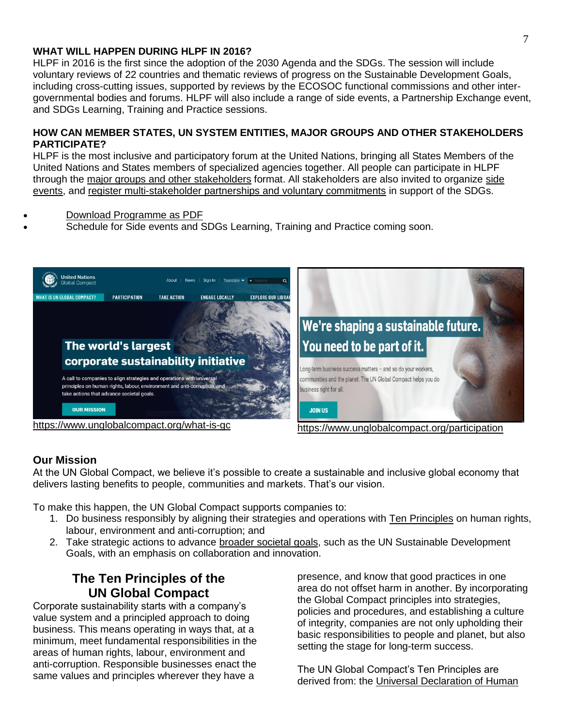### **WHAT WILL HAPPEN DURING HLPF IN 2016?**

HLPF in 2016 is the first since the adoption of the 2030 Agenda and the SDGs. The session will include voluntary reviews of 22 countries and thematic reviews of progress on the Sustainable Development Goals, including cross-cutting issues, supported by reviews by the ECOSOC functional commissions and other intergovernmental bodies and forums. HLPF will also include a range of side events, a Partnership Exchange event, and SDGs Learning, Training and Practice sessions.

### **HOW CAN MEMBER STATES, UN SYSTEM ENTITIES, MAJOR GROUPS AND OTHER STAKEHOLDERS PARTICIPATE?**

HLPF is the most inclusive and participatory forum at the United Nations, bringing all States Members of the United Nations and States members of specialized agencies together. All people can participate in HLPF through the [major groups and other stakeholders](https://sustainabledevelopment.un.org/majorgroups) format. All stakeholders are also invited to organize [side](https://sustainabledevelopment.un.org/content/documents/9915HLPF%202016%20Side%20Events%20Guidelines.docx)  [events,](https://sustainabledevelopment.un.org/content/documents/9915HLPF%202016%20Side%20Events%20Guidelines.docx) and [register multi-stakeholder partnerships and voluntary commitments](https://sustainabledevelopment.un.org/partnership/register/) in support of the SDGs.

- [Download Programme as PDF](https://sustainabledevelopment.un.org/content/documents/10425HLPF%20Draft%20Programme%202016.pdf)
- Schedule for Side events and SDGs Learning, Training and Practice coming soon.



### **Our Mission**

At the UN Global Compact, we believe it's possible to create a sustainable and inclusive global economy that delivers lasting benefits to people, communities and markets. That's our vision.

To make this happen, the UN Global Compact supports companies to:

- 1. Do business responsibly by aligning their strategies and operations with [Ten Principles](https://www.unglobalcompact.org/what-is-gc/mission/principles) on human rights, labour, environment and anti-corruption; and
- 2. Take strategic actions to advance [broader societal goals,](https://www.unglobalcompact.org/what-is-gc/our-work/sustainable-development) such as the UN Sustainable Development Goals, with an emphasis on collaboration and innovation.

# **The Ten Principles of the UN Global Compact**

Corporate sustainability starts with a company's value system and a principled approach to doing business. This means operating in ways that, at a minimum, meet fundamental responsibilities in the areas of human rights, labour, environment and anti-corruption. Responsible businesses enact the same values and principles wherever they have a

presence, and know that good practices in one area do not offset harm in another. By incorporating the Global Compact principles into strategies, policies and procedures, and establishing a culture of integrity, companies are not only upholding their basic responsibilities to people and planet, but also setting the stage for long-term success.

The UN Global Compact's Ten Principles are derived from: the [Universal Declaration of Human](http://www.un.org/Overview/rights.html)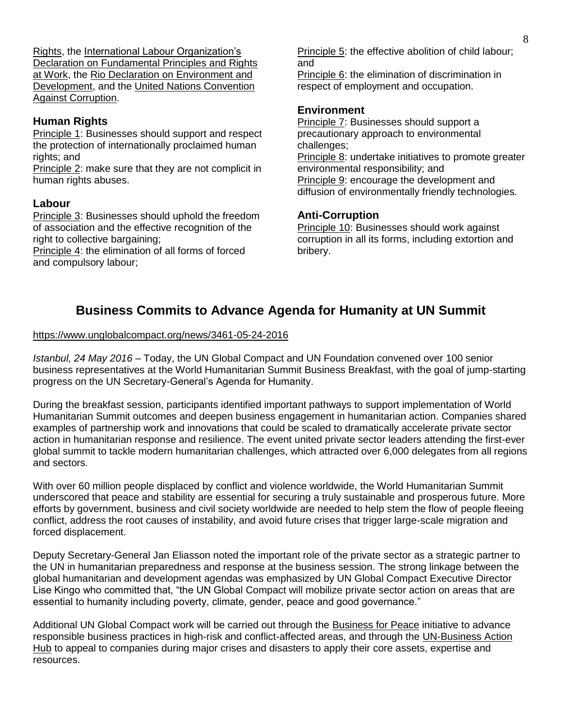[Rights,](http://www.un.org/Overview/rights.html) the [International Labour Organization's](http://www.ilo.org/declaration/lang--en/index.htm)  [Declaration on Fundamental Principles and Rights](http://www.ilo.org/declaration/lang--en/index.htm)  [at Work,](http://www.ilo.org/declaration/lang--en/index.htm) the [Rio Declaration on Environment and](https://sustainabledevelopment.un.org/rio20/futurewewant)  [Development,](https://sustainabledevelopment.un.org/rio20/futurewewant) and the [United Nations Convention](http://www.unodc.org/unodc/en/treaties/CAC/index.html)  [Against Corruption.](http://www.unodc.org/unodc/en/treaties/CAC/index.html)

### **Human Rights**

[Principle 1:](https://www.unglobalcompact.org/what-is-gc/mission/principles/principle-1) Businesses should support and respect the protection of internationally proclaimed human rights; and

[Principle 2:](https://www.unglobalcompact.org/what-is-gc/mission/principles/principle-2) make sure that they are not complicit in human rights abuses.

### **Labour**

[Principle 3:](https://www.unglobalcompact.org/what-is-gc/mission/principles/principle-3) Businesses should uphold the freedom of association and the effective recognition of the right to collective bargaining:

[Principle 4:](https://www.unglobalcompact.org/what-is-gc/mission/principles/principle-4) the elimination of all forms of forced and compulsory labour;

[Principle 5:](https://www.unglobalcompact.org/what-is-gc/mission/principles/principle-5) the effective abolition of child labour; and

[Principle 6:](https://www.unglobalcompact.org/what-is-gc/mission/principles/principle-6) the elimination of discrimination in respect of employment and occupation.

#### **Environment**

[Principle 7:](https://www.unglobalcompact.org/what-is-gc/mission/principles/principle-7) Businesses should support a precautionary approach to environmental challenges; [Principle 8:](https://www.unglobalcompact.org/what-is-gc/mission/principles/principle-8) undertake initiatives to promote greater environmental responsibility; and [Principle 9:](https://www.unglobalcompact.org/what-is-gc/mission/principles/principle-9) encourage the development and diffusion of environmentally friendly technologies.

### **Anti-Corruption**

[Principle 10:](https://www.unglobalcompact.org/what-is-gc/mission/principles/principle-10) Businesses should work against corruption in all its forms, including extortion and bribery.

# **Business Commits to Advance Agenda for Humanity at UN Summit**

#### <https://www.unglobalcompact.org/news/3461-05-24-2016>

*Istanbul, 24 May 2016* – Today, the UN Global Compact and UN Foundation convened over 100 senior business representatives at the World Humanitarian Summit Business Breakfast, with the goal of jump-starting progress on the UN Secretary-General's Agenda for Humanity.

During the breakfast session, participants identified important pathways to support implementation of World Humanitarian Summit outcomes and deepen business engagement in humanitarian action. Companies shared examples of partnership work and innovations that could be scaled to dramatically accelerate private sector action in humanitarian response and resilience. The event united private sector leaders attending the first-ever global summit to tackle modern humanitarian challenges, which attracted over 6,000 delegates from all regions and sectors.

With over 60 million people displaced by conflict and violence worldwide, the World Humanitarian Summit underscored that peace and stability are essential for securing a truly sustainable and prosperous future. More efforts by government, business and civil society worldwide are needed to help stem the flow of people fleeing conflict, address the root causes of instability, and avoid future crises that trigger large-scale migration and forced displacement.

Deputy Secretary-General Jan Eliasson noted the important role of the private sector as a strategic partner to the UN in humanitarian preparedness and response at the business session. The strong linkage between the global humanitarian and development agendas was emphasized by UN Global Compact Executive Director Lise Kingo who committed that, "the UN Global Compact will mobilize private sector action on areas that are essential to humanity including poverty, climate, gender, peace and good governance."

Additional UN Global Compact work will be carried out through the [Business for Peace](https://www.unglobalcompact.org/take-action/action/peace) initiative to advance responsible business practices in high-risk and conflict-affected areas, and through the [UN-Business Action](https://business.un.org/)  [Hub](https://business.un.org/) to appeal to companies during major crises and disasters to apply their core assets, expertise and resources.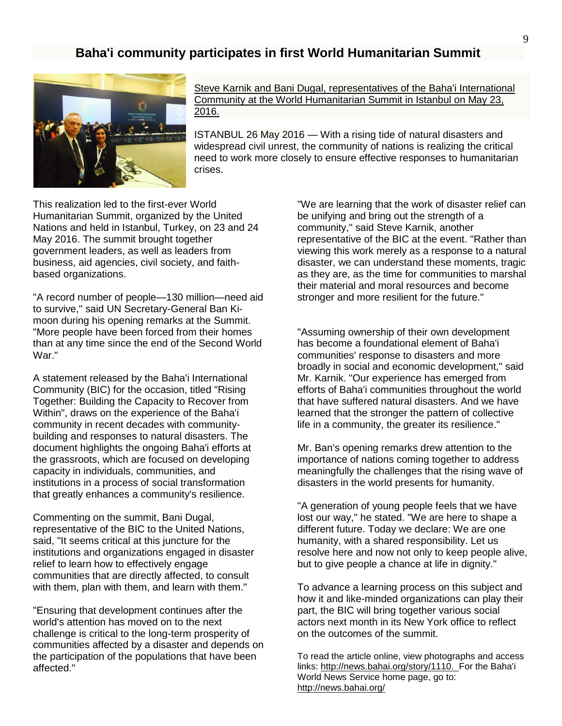### **Baha'i community participates in first World Humanitarian Summit**



Steve Karnik and Bani Dugal, [representatives](http://news.bahai.org/multimedia/slideshow.php?storyid=1110) of the Baha'i International Community at the World [Humanitarian](http://news.bahai.org/multimedia/slideshow.php?storyid=1110) Summit in Istanbul on May 23, [2016.](http://news.bahai.org/multimedia/slideshow.php?storyid=1110)

ISTANBUL 26 May 2016 — With a rising tide of natural disasters and widespread civil unrest, the community of nations is realizing the critical need to work more closely to ensure effective responses to humanitarian crises.

This realization led to the first-ever World Humanitarian Summit, organized by the United Nations and held in Istanbul, Turkey, on 23 and 24 May 2016. The summit brought together government leaders, as well as leaders from business, aid agencies, civil society, and faithbased organizations.

"A record number of people—130 million—need aid to survive," said UN Secretary-General Ban Kimoon during his opening remarks at the Summit. "More people have been forced from their homes than at any time since the end of the Second World War."

A statement released by the Baha'i International Community (BIC) for the occasion, titled "Rising Together: Building the Capacity to Recover from Within", draws on the experience of the Baha'i community in recent decades with communitybuilding and responses to natural disasters. The document highlights the ongoing Baha'i efforts at the grassroots, which are focused on developing capacity in individuals, communities, and institutions in a process of social transformation that greatly enhances a community's resilience.

Commenting on the summit, Bani Dugal, representative of the BIC to the United Nations, said, "It seems critical at this juncture for the institutions and organizations engaged in disaster relief to learn how to effectively engage communities that are directly affected, to consult with them, plan with them, and learn with them."

"Ensuring that development continues after the world's attention has moved on to the next challenge is critical to the long-term prosperity of communities affected by a disaster and depends on the participation of the populations that have been affected."

"We are learning that the work of disaster relief can be unifying and bring out the strength of a community," said Steve Karnik, another representative of the BIC at the event. "Rather than viewing this work merely as a response to a natural disaster, we can understand these moments, tragic as they are, as the time for communities to marshal their material and moral resources and become stronger and more resilient for the future."

"Assuming ownership of their own development has become a foundational element of Baha'i communities' response to disasters and more broadly in social and economic development," said Mr. Karnik. "Our experience has emerged from efforts of Baha'i communities throughout the world that have suffered natural disasters. And we have learned that the stronger the pattern of collective life in a community, the greater its resilience."

Mr. Ban's opening remarks drew attention to the importance of nations coming together to address meaningfully the challenges that the rising wave of disasters in the world presents for humanity.

"A generation of young people feels that we have lost our way," he stated. "We are here to shape a different future. Today we declare: We are one humanity, with a shared responsibility. Let us resolve here and now not only to keep people alive, but to give people a chance at life in dignity."

To advance a learning process on this subject and how it and like-minded organizations can play their part, the BIC will bring together various social actors next month in its New York office to reflect on the outcomes of the summit.

To read the article online, view photographs and access links: [http://news.bahai.org/story/1110.](http://news.bahai.org/story/1110) For the Baha'i World News Service home page, go to: <http://news.bahai.org/>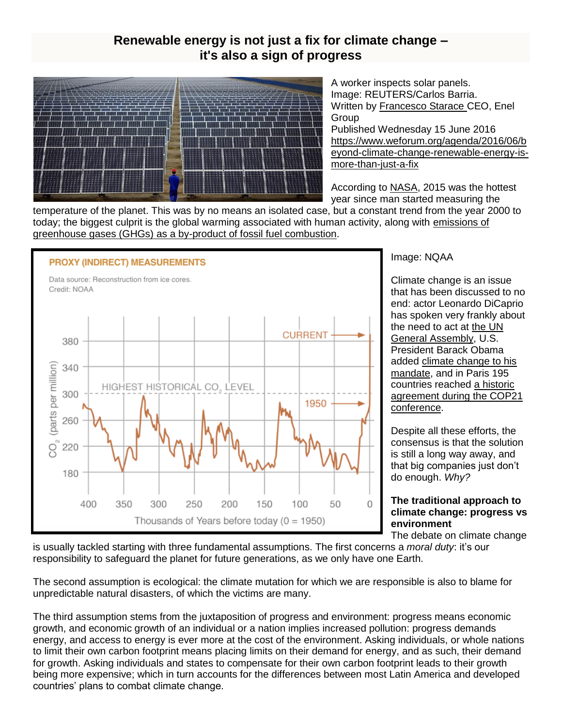# **Renewable energy is not just a fix for climate change – it's also a sign of progress**



A worker inspects solar panels. Image: REUTERS/Carlos Barria. Written by [Francesco Starace](https://www.weforum.org/agenda/authors/francesco-starace) CEO, Enel **Group** 

Published Wednesday 15 June 2016 [https://www.weforum.org/agenda/2016/06/b](https://www.weforum.org/agenda/2016/06/beyond-climate-change-renewable-energy-is-more-than-just-a-fix) [eyond-climate-change-renewable-energy-is](https://www.weforum.org/agenda/2016/06/beyond-climate-change-renewable-energy-is-more-than-just-a-fix)more-than-iust-a-fix

According t[o](http://climate.nasa.gov/vital-signs/global-temperature/) [NASA,](http://climate.nasa.gov/vital-signs/global-temperature/) 2015 was the hottest year since man started measuring the

temperature of the planet. This was by no means an isolated case, but a constant trend from the year 2000 to today; the biggest culprit is the global warming associated with human activity, along with [emissions of](http://www.ipcc.ch/pdf/assessment-report/ar5/syr/SYR_AR5_FINAL_full_wcover.pdf)  [greenhouse gases \(GHGs\) as a by-product of fossil fuel combustion.](http://www.ipcc.ch/pdf/assessment-report/ar5/syr/SYR_AR5_FINAL_full_wcover.pdf)



Image: NQAA

Climate change is an issue that has been discussed to no end: actor Leonardo DiCaprio has spoken very frankly about the need to act a[t](https://www.youtube.com/watch?v=m-FM845giaI) [the UN](https://www.youtube.com/watch?v=m-FM845giaI)  [General Assembly,](https://www.youtube.com/watch?v=m-FM845giaI) U.S. President Barack Obama adde[d](https://www.whitehouse.gov/climate-change) [climate change to his](https://www.whitehouse.gov/climate-change)  [mandate,](https://www.whitehouse.gov/climate-change) and in Paris 195 countries reache[d](http://www.cop21.gouv.fr/en/195-countries-adopt-the-first-universal-climate-agreement/) [a historic](http://www.cop21.gouv.fr/en/195-countries-adopt-the-first-universal-climate-agreement/)  [agreement during the COP21](http://www.cop21.gouv.fr/en/195-countries-adopt-the-first-universal-climate-agreement/)  [conference.](http://www.cop21.gouv.fr/en/195-countries-adopt-the-first-universal-climate-agreement/)

Despite all these efforts, the consensus is that the solution is still a long way away, and that big companies just don't do enough. *Why?*

### **The traditional approach to climate change: progress vs environment**

The debate on climate change

is usually tackled starting with three fundamental assumptions. The first concerns a *moral duty*: it's our responsibility to safeguard the planet for future generations, as we only have one Earth.

The second assumption is ecological: the climate mutation for which we are responsible is also to blame for unpredictable natural disasters, of which the victims are many.

The third assumption stems from the juxtaposition of progress and environment: progress means economic growth, and economic growth of an individual or a nation implies increased pollution: progress demands energy, and access to energy is ever more at the cost of the environment. Asking individuals, or whole nations to limit their own carbon footprint means placing limits on their demand for energy, and as such, their demand for growth. Asking individuals and states to compensate for their own carbon footprint leads to their growth being more expensive; which in turn accounts for the differences between most Latin America and developed countries' plans to combat climate change.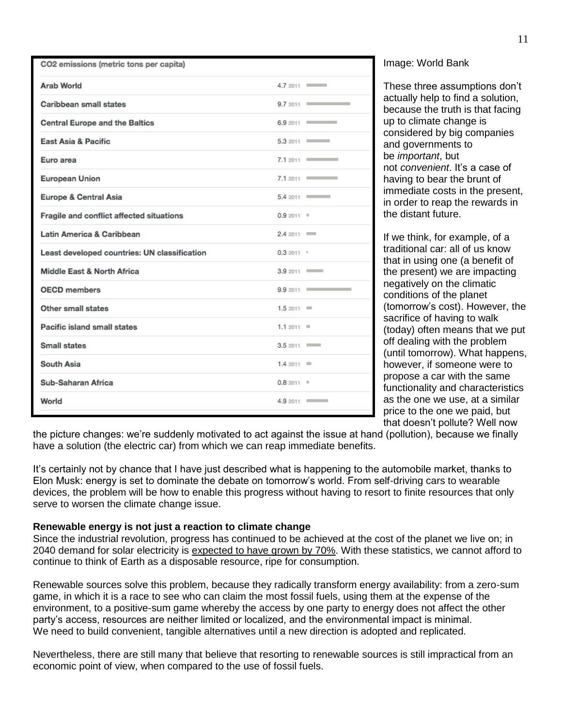| CO2 emissions (metric tons per capita)       |             |                             |
|----------------------------------------------|-------------|-----------------------------|
| <b>Arab World</b>                            |             | $4.72011$ $\longrightarrow$ |
| <b>Caribbean small states</b>                | $9.72011$ = |                             |
| <b>Central Europe and the Baltics</b>        |             | 6.9 2011 2020               |
| <b>East Asia &amp; Pacific</b>               |             | $5.32011$ $\longrightarrow$ |
| Euro area                                    |             | $7.12011$ $\longrightarrow$ |
| <b>European Union</b>                        |             | $7.12011$ $\longrightarrow$ |
| <b>Europe &amp; Central Asia</b>             |             | 5.42011                     |
| Fragile and conflict affected situations     | $0.92011$ = |                             |
| <b>Latin America &amp; Caribbean</b>         | $2.42011$ = |                             |
| Least developed countries: UN classification | 0.32011     |                             |
| <b>Middle East &amp; North Africa</b>        | 3.9 2011 –  |                             |
| <b>OECD</b> members                          | $9.92011$ = |                             |
| <b>Other small states</b>                    | $1.52011 =$ |                             |
| Pacific island small states                  | $1.12011 =$ |                             |
| <b>Small states</b>                          | 3.52011     |                             |
| <b>South Asia</b>                            | $1.42011 =$ |                             |
| <b>Sub-Saharan Africa</b>                    | $0.82011$ = |                             |
| World                                        |             | 4.9 2011 –                  |

Image: World Bank

These three assumptions don't actually help to find a solution, because the truth is that facing up to climate change is considered by big companies and governments to be *important*, but not *convenient*. It's a case of having to bear the brunt of immediate costs in the present, in order to reap the rewards in the distant future.

If we think, for example, of a traditional car: all of us know that in using one (a benefit of the present) we are impacting negatively on the climatic conditions of the planet (tomorrow's cost). However, the sacrifice of having to walk (today) often means that we put off dealing with the problem (until tomorrow). What happens, however, if someone were to propose a car with the same functionality and characteristics as the one we use, at a similar price to the one we paid, but that doesn't pollute? Well now

the picture changes: we're suddenly motivated to act against the issue at hand (pollution), because we finally have a solution (the electric car) from which we can reap immediate benefits.

It's certainly not by chance that I have just described what is happening to the automobile market, thanks to Elon Musk: energy is set to dominate the debate on tomorrow's world. From self-driving cars to wearable devices, the problem will be how to enable this progress without having to resort to finite resources that only serve to worsen the climate change issue.

#### **Renewable energy is not just a reaction to climate change**

Since the industrial revolution, progress has continued to be achieved at the cost of the planet we live on; in 2040 demand for solar electricity is [expected to have grown by 70%.](http://www.worldenergyoutlook.org/media/weowebsite/2015/WEO2015_Factsheets.pdf) With these statistics, we cannot afford to continue to think of Earth as a disposable resource, ripe for consumption.

Renewable sources solve this problem, because they radically transform energy availability: from a zero-sum game, in which it is a race to see who can claim the most fossil fuels, using them at the expense of the environment, to a positive-sum game whereby the access by one party to energy does not affect the other party's access, resources are neither limited or localized, and the environmental impact is minimal. We need to build convenient, tangible alternatives until a new direction is adopted and replicated.

Nevertheless, there are still many that believe that resorting to renewable sources is still impractical from an economic point of view, when compared to the use of fossil fuels.